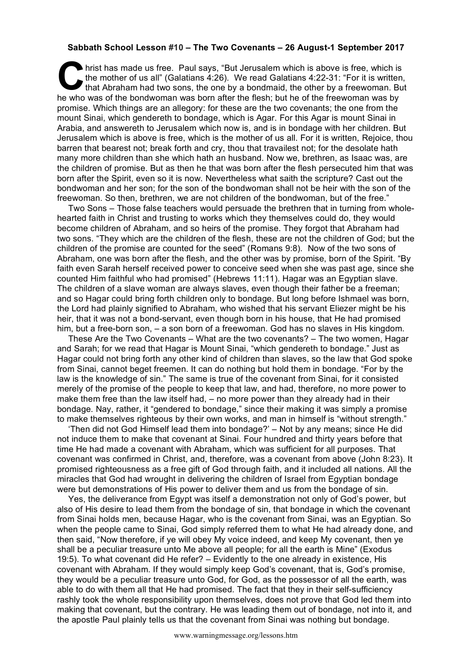## **Sabbath School Lesson #10 – The Two Covenants – 26 August-1 September 2017**

hrist has made us free. Paul says, "But Jerusalem which is above is free, which is<br>the mother of us all" (Galatians 4:26). We read Galatians 4:22-31: "For it is written,<br>that Abraham had two sons, the one by a bondmaid, th the mother of us all" (Galatians 4:26). We read Galatians 4:22-31: "For it is written, that Abraham had two sons, the one by a bondmaid, the other by a freewoman. But he who was of the bondwoman was born after the flesh; but he of the freewoman was by promise. Which things are an allegory: for these are the two covenants; the one from the mount Sinai, which gendereth to bondage, which is Agar. For this Agar is mount Sinai in Arabia, and answereth to Jerusalem which now is, and is in bondage with her children. But Jerusalem which is above is free, which is the mother of us all. For it is written, Rejoice, thou barren that bearest not; break forth and cry, thou that travailest not; for the desolate hath many more children than she which hath an husband. Now we, brethren, as Isaac was, are the children of promise. But as then he that was born after the flesh persecuted him that was born after the Spirit, even so it is now. Nevertheless what saith the scripture? Cast out the bondwoman and her son; for the son of the bondwoman shall not be heir with the son of the freewoman. So then, brethren, we are not children of the bondwoman, but of the free."

Two Sons – Those false teachers would persuade the brethren that in turning from wholehearted faith in Christ and trusting to works which they themselves could do, they would become children of Abraham, and so heirs of the promise. They forgot that Abraham had two sons. "They which are the children of the flesh, these are not the children of God; but the children of the promise are counted for the seed" (Romans 9:8). Now of the two sons of Abraham, one was born after the flesh, and the other was by promise, born of the Spirit. "By faith even Sarah herself received power to conceive seed when she was past age, since she counted Him faithful who had promised" (Hebrews 11:11). Hagar was an Egyptian slave. The children of a slave woman are always slaves, even though their father be a freeman; and so Hagar could bring forth children only to bondage. But long before Ishmael was born, the Lord had plainly signified to Abraham, who wished that his servant Eliezer might be his heir, that it was not a bond-servant, even though born in his house, that He had promised him, but a free-born son, – a son born of a freewoman. God has no slaves in His kingdom.

These Are the Two Covenants – What are the two covenants? – The two women, Hagar and Sarah; for we read that Hagar is Mount Sinai, "which gendereth to bondage." Just as Hagar could not bring forth any other kind of children than slaves, so the law that God spoke from Sinai, cannot beget freemen. It can do nothing but hold them in bondage. "For by the law is the knowledge of sin." The same is true of the covenant from Sinai, for it consisted merely of the promise of the people to keep that law, and had, therefore, no more power to make them free than the law itself had, – no more power than they already had in their bondage. Nay, rather, it "gendered to bondage," since their making it was simply a promise to make themselves righteous by their own works, and man in himself is "without strength."

'Then did not God Himself lead them into bondage?' – Not by any means; since He did not induce them to make that covenant at Sinai. Four hundred and thirty years before that time He had made a covenant with Abraham, which was sufficient for all purposes. That covenant was confirmed in Christ, and, therefore, was a covenant from above (John 8:23). It promised righteousness as a free gift of God through faith, and it included all nations. All the miracles that God had wrought in delivering the children of Israel from Egyptian bondage were but demonstrations of His power to deliver them and us from the bondage of sin.

Yes, the deliverance from Egypt was itself a demonstration not only of God's power, but also of His desire to lead them from the bondage of sin, that bondage in which the covenant from Sinai holds men, because Hagar, who is the covenant from Sinai, was an Egyptian. So when the people came to Sinai, God simply referred them to what He had already done, and then said, "Now therefore, if ye will obey My voice indeed, and keep My covenant, then ye shall be a peculiar treasure unto Me above all people; for all the earth is Mine" (Exodus 19:5). To what covenant did He refer? – Evidently to the one already in existence, His covenant with Abraham. If they would simply keep God's covenant, that is, God's promise, they would be a peculiar treasure unto God, for God, as the possessor of all the earth, was able to do with them all that He had promised. The fact that they in their self-sufficiency rashly took the whole responsibility upon themselves, does not prove that God led them into making that covenant, but the contrary. He was leading them out of bondage, not into it, and the apostle Paul plainly tells us that the covenant from Sinai was nothing but bondage.